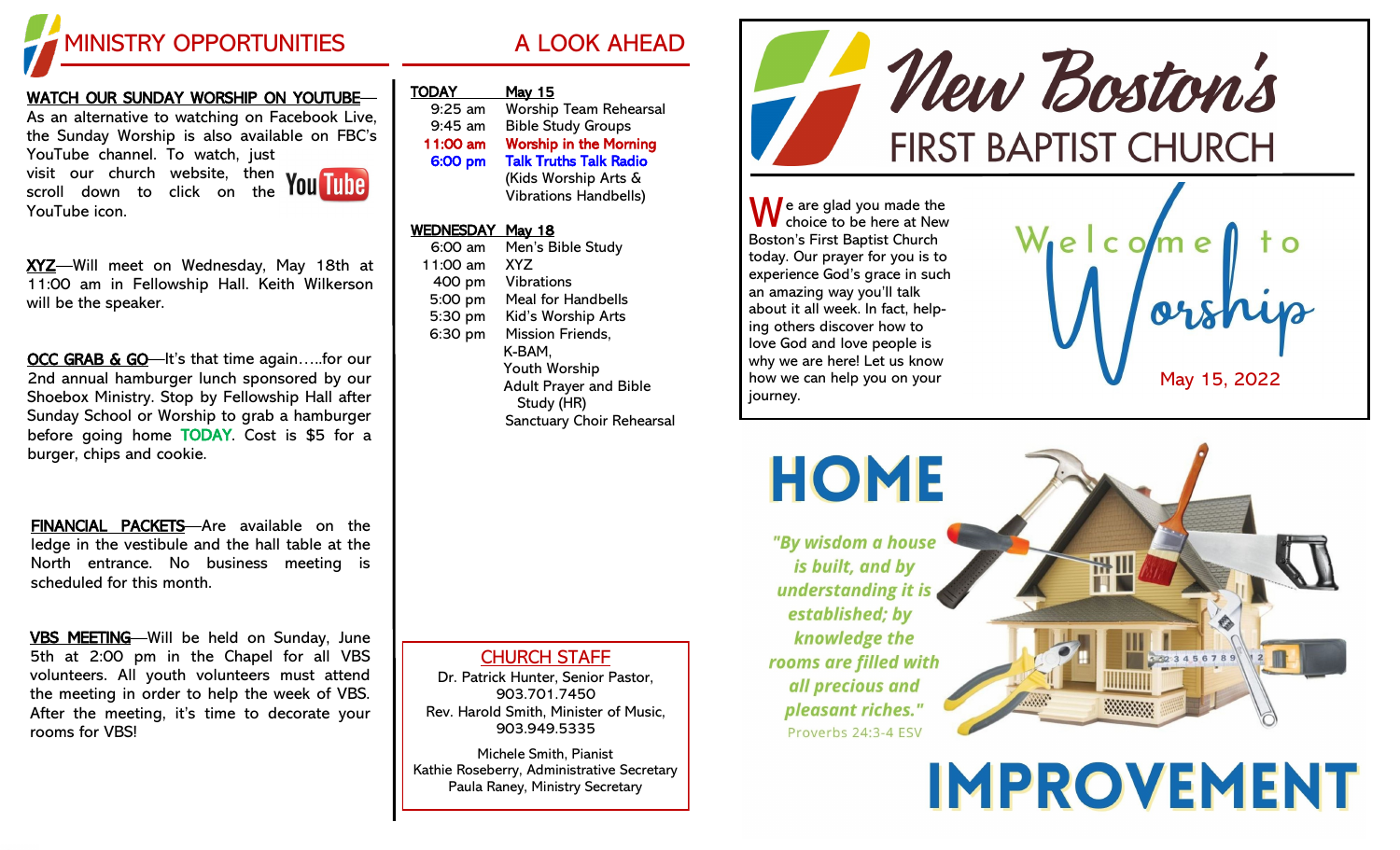

## WATCH OUR SUNDAY WORSHIP ON YOUTUBE—

As an alternative to watching on Facebook Live, the Sunday Worship is also available on FBC's YouTube channel. To watch, just

visit our church website, then scroll down to click on the YouTube icon.



XYZ-Will meet on Wednesday, May 18th at 11:00 am in Fellowship Hall. Keith Wilkerson will be the speaker.

OCC GRAB & GO—It's that time again.....for our 2nd annual hamburger lunch sponsored by our Shoebox Ministry. Stop by Fellowship Hall after Sunday School or Worship to grab a hamburger before going home TODAY. Cost is \$5 for a burger, chips and cookie.

FINANCIAL PACKETS—Are available on the ledge in the vestibule and the hall table at the North entrance. No business meeting is scheduled for this month.

VBS MEETING—Will be held on Sunday, June 5th at 2:00 pm in the Chapel for all VBS volunteers. All youth volunteers must attend the meeting in order to help the week of VBS. After the meeting, it's time to decorate your rooms for VBS!

| <b>TODAY</b> | <u>May 15</u>                 |
|--------------|-------------------------------|
| $9:25$ am    | <b>Worship Team Rehearsal</b> |
| $9:45$ am    | <b>Bible Study Groups</b>     |
| 11:00 am     | <b>Worship in the Morning</b> |
| 6:00 pm      | <b>Talk Truths Talk Radio</b> |
|              | (Kids Worship Arts &          |
|              | <b>Vibrations Handbells)</b>  |

## WEDNESDAY May 18

| 6:00 am  | Men's Bible Study             |
|----------|-------------------------------|
| 11:00 am | <b>XYZ</b>                    |
| 400 pm   | <b>Vibrations</b>             |
| 5:00 pm  | <b>Meal for Handbells</b>     |
| 5:30 pm  | Kid's Worship Arts            |
| 6:30 pm  | <b>Mission Friends,</b>       |
|          | K-BAM.                        |
|          | <b>Youth Worship</b>          |
|          | <b>Adult Prayer and Bible</b> |
|          | Study (HR)                    |
|          | Sanctuary Choir Rehearsal     |
|          |                               |

## CHURCH STAFF

Dr. Patrick Hunter, Senior Pastor, 903.701.7450 Rev. Harold Smith, Minister of Music, 903.949.5335

Michele Smith, Pianist Kathie Roseberry, Administrative Secretary Paula Raney, Ministry Secretary



 $\bigwedge$  e are glad you made the choice to be here at New Boston's First Baptist Church today. Our prayer for you is to experience God's grace in such an amazing way you'll talk about it all week. In fact, helping others discover how to love God and love people is why we are here! Let us know how we can help you on your journey.